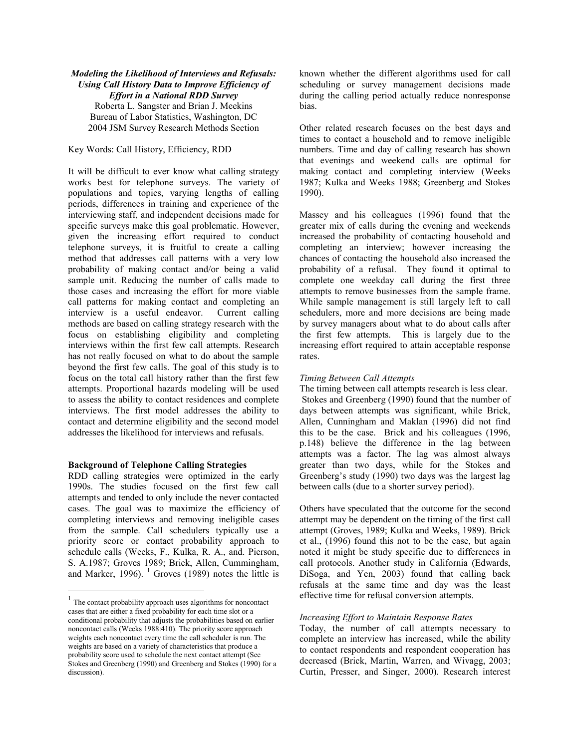# *Modeling the Likelihood of Interviews and Refusals: Using Call History Data to Improve Efficiency of Effort in a National RDD Survey* Roberta L. Sangster and Brian J. Meekins Bureau of Labor Statistics, Washington, DC 2004 JSM Survey Research Methods Section

Key Words: Call History, Efficiency, RDD

It will be difficult to ever know what calling strategy works best for telephone surveys. The variety of populations and topics, varying lengths of calling periods, differences in training and experience of the interviewing staff, and independent decisions made for specific surveys make this goal problematic. However, given the increasing effort required to conduct telephone surveys, it is fruitful to create a calling method that addresses call patterns with a very low probability of making contact and/or being a valid sample unit. Reducing the number of calls made to those cases and increasing the effort for more viable call patterns for making contact and completing an interview is a useful endeavor. Current calling methods are based on calling strategy research with the focus on establishing eligibility and completing interviews within the first few call attempts. Research has not really focused on what to do about the sample beyond the first few calls. The goal of this study is to focus on the total call history rather than the first few attempts. Proportional hazards modeling will be used to assess the ability to contact residences and complete interviews. The first model addresses the ability to contact and determine eligibility and the second model addresses the likelihood for interviews and refusals.

#### **Background of Telephone Calling Strategies**

RDD calling strategies were optimized in the early 1990s. The studies focused on the first few call attempts and tended to only include the never contacted cases. The goal was to maximize the efficiency of completing interviews and removing ineligible cases from the sample. Call schedulers typically use a priority score or contact probability approach to schedule calls (Weeks, F., Kulka, R. A., and. Pierson, S. A.1987; Groves 1989; Brick, Allen, Cummingham, and Marker, 1996).  $\frac{1}{1}$  Groves (1989) notes the little is

 $\overline{a}$ 

known whether the different algorithms used for call scheduling or survey management decisions made during the calling period actually reduce nonresponse bias.

Other related research focuses on the best days and times to contact a household and to remove ineligible numbers. Time and day of calling research has shown that evenings and weekend calls are optimal for making contact and completing interview (Weeks 1987; Kulka and Weeks 1988; Greenberg and Stokes 1990).

Massey and his colleagues (1996) found that the greater mix of calls during the evening and weekends increased the probability of contacting household and completing an interview; however increasing the chances of contacting the household also increased the probability of a refusal. They found it optimal to complete one weekday call during the first three attempts to remove businesses from the sample frame. While sample management is still largely left to call schedulers, more and more decisions are being made by survey managers about what to do about calls after the first few attempts. This is largely due to the increasing effort required to attain acceptable response rates.

#### *Timing Between Call Attempts*

The timing between call attempts research is less clear. Stokes and Greenberg (1990) found that the number of days between attempts was significant, while Brick, Allen, Cunningham and Maklan (1996) did not find this to be the case. Brick and his colleagues (1996, p.148) believe the difference in the lag between attempts was a factor. The lag was almost always greater than two days, while for the Stokes and Greenberg's study (1990) two days was the largest lag between calls (due to a shorter survey period).

Others have speculated that the outcome for the second attempt may be dependent on the timing of the first call attempt (Groves, 1989; Kulka and Weeks, 1989). Brick et al., (1996) found this not to be the case, but again noted it might be study specific due to differences in call protocols. Another study in California (Edwards, DiSoga, and Yen, 2003) found that calling back refusals at the same time and day was the least effective time for refusal conversion attempts.

#### *Increasing Effort to Maintain Response Rates*

Today, the number of call attempts necessary to complete an interview has increased, while the ability to contact respondents and respondent cooperation has decreased (Brick, Martin, Warren, and Wivagg, 2003; Curtin, Presser, and Singer, 2000). Research interest

<sup>&</sup>lt;sup>1</sup> The contact probability approach uses algorithms for noncontact cases that are either a fixed probability for each time slot or a conditional probability that adjusts the probabilities based on earlier noncontact calls (Weeks 1988:410). The priority score approach weights each noncontact every time the call scheduler is run. The weights are based on a variety of characteristics that produce a probability score used to schedule the next contact attempt (See Stokes and Greenberg (1990) and Greenberg and Stokes (1990) for a discussion).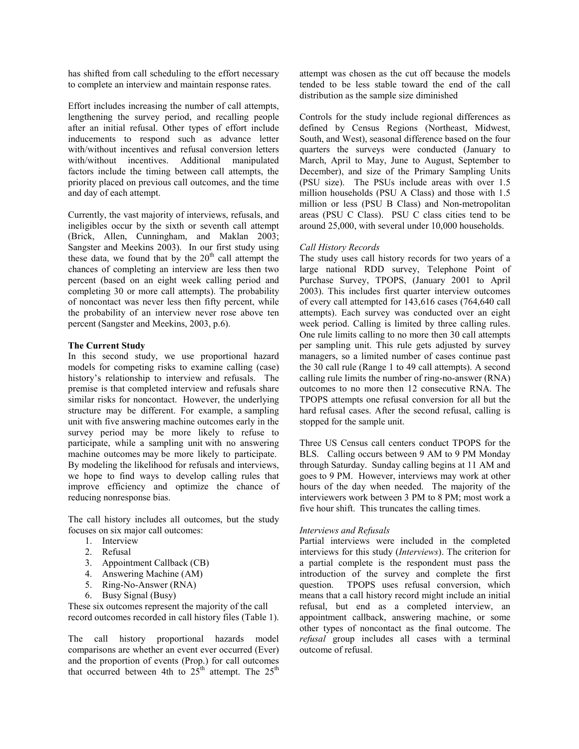has shifted from call scheduling to the effort necessary to complete an interview and maintain response rates.

Effort includes increasing the number of call attempts, lengthening the survey period, and recalling people after an initial refusal. Other types of effort include inducements to respond such as advance letter with/without incentives and refusal conversion letters with/without incentives. Additional manipulated factors include the timing between call attempts, the priority placed on previous call outcomes, and the time and day of each attempt.

Currently, the vast majority of interviews, refusals, and ineligibles occur by the sixth or seventh call attempt (Brick, Allen, Cunningham, and Maklan 2003; Sangster and Meekins 2003). In our first study using these data, we found that by the  $20<sup>th</sup>$  call attempt the chances of completing an interview are less then two percent (based on an eight week calling period and completing 30 or more call attempts). The probability of noncontact was never less then fifty percent, while the probability of an interview never rose above ten percent (Sangster and Meekins, 2003, p.6).

## **The Current Study**

In this second study, we use proportional hazard models for competing risks to examine calling (case) history's relationship to interview and refusals. The premise is that completed interview and refusals share similar risks for noncontact. However, the underlying structure may be different. For example, a sampling unit with five answering machine outcomes early in the survey period may be more likely to refuse to participate, while a sampling unit with no answering machine outcomes may be more likely to participate. By modeling the likelihood for refusals and interviews, we hope to find ways to develop calling rules that improve efficiency and optimize the chance of reducing nonresponse bias.

The call history includes all outcomes, but the study focuses on six major call outcomes:

- 1. Interview
- 2. Refusal
- 3. Appointment Callback (CB)
- 4. Answering Machine (AM)
- 5. Ring-No-Answer (RNA)
- 6. Busy Signal (Busy)

These six outcomes represent the majority of the call record outcomes recorded in call history files (Table 1).

The call history proportional hazards model comparisons are whether an event ever occurred (Ever) and the proportion of events (Prop.) for call outcomes that occurred between 4th to  $25<sup>th</sup>$  attempt. The  $25<sup>th</sup>$ 

attempt was chosen as the cut off because the models tended to be less stable toward the end of the call distribution as the sample size diminished

Controls for the study include regional differences as defined by Census Regions (Northeast, Midwest, South, and West), seasonal difference based on the four quarters the surveys were conducted (January to March, April to May, June to August, September to December), and size of the Primary Sampling Units (PSU size). The PSUs include areas with over 1.5 million households (PSU A Class) and those with 1.5 million or less (PSU B Class) and Non-metropolitan areas (PSU C Class). PSU C class cities tend to be around 25,000, with several under 10,000 households.

## *Call History Records*

The study uses call history records for two years of a large national RDD survey, Telephone Point of Purchase Survey, TPOPS, (January 2001 to April 2003). This includes first quarter interview outcomes of every call attempted for 143,616 cases (764,640 call attempts). Each survey was conducted over an eight week period. Calling is limited by three calling rules. One rule limits calling to no more then 30 call attempts per sampling unit. This rule gets adjusted by survey managers, so a limited number of cases continue past the 30 call rule (Range 1 to 49 call attempts). A second calling rule limits the number of ring-no-answer (RNA) outcomes to no more then 12 consecutive RNA. The TPOPS attempts one refusal conversion for all but the hard refusal cases. After the second refusal, calling is stopped for the sample unit.

Three US Census call centers conduct TPOPS for the BLS. Calling occurs between 9 AM to 9 PM Monday through Saturday. Sunday calling begins at 11 AM and goes to 9 PM. However, interviews may work at other hours of the day when needed. The majority of the interviewers work between 3 PM to 8 PM; most work a five hour shift. This truncates the calling times.

# *Interviews and Refusals*

Partial interviews were included in the completed interviews for this study (*Interviews*). The criterion for a partial complete is the respondent must pass the introduction of the survey and complete the first question. TPOPS uses refusal conversion, which means that a call history record might include an initial refusal, but end as a completed interview, an appointment callback, answering machine, or some other types of noncontact as the final outcome. The *refusal* group includes all cases with a terminal outcome of refusal.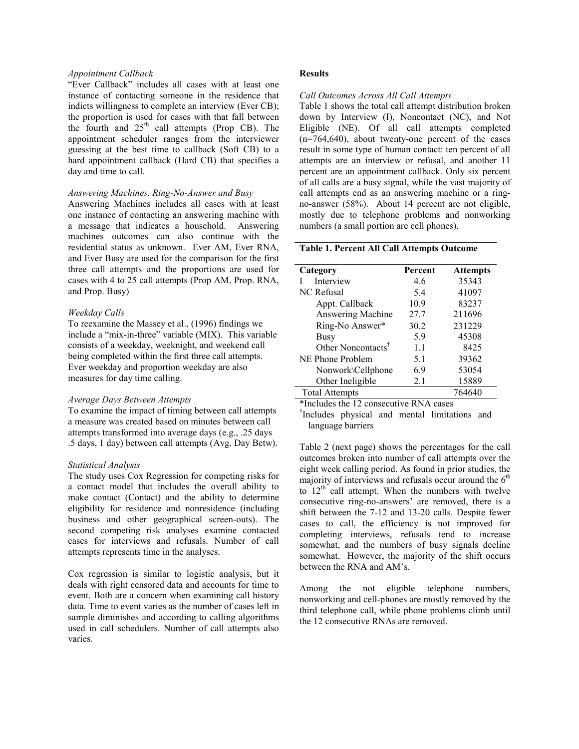### *Appointment Callback*

"Ever Callback" includes all cases with at least one instance of contacting someone in the residence that indicts willingness to complete an interview (Ever CB); the proportion is used for cases with that fall between the fourth and  $25<sup>th</sup>$  call attempts (Prop CB). The appointment scheduler ranges from the interviewer guessing at the best time to callback (Soft CB) to a hard appointment callback (Hard CB) that specifies a day and time to call.

### *Answering Machines, Ring-No-Answer and Busy*

Answering Machines includes all cases with at least one instance of contacting an answering machine with a message that indicates a household. Answering machines outcomes can also continue with the residential status as unknown. Ever AM, Ever RNA, and Ever Busy are used for the comparison for the first three call attempts and the proportions are used for cases with 4 to 25 call attempts (Prop AM, Prop. RNA, and Prop. Busy)

### *Weekday Calls*

To reexamine the Massey et al., (1996) findings we include a "mix-in-three" variable (MIX). This variable consists of a weekday, weeknight, and weekend call being completed within the first three call attempts. Ever weekday and proportion weekday are also measures for day time calling.

### *Average Days Between Attempts*

To examine the impact of timing between call attempts a measure was created based on minutes between call attempts transformed into average days (e.g., .25 days .5 days, 1 day) between call attempts (Avg. Day Betw).

### *Statistical Analysis*

The study uses Cox Regression for competing risks for a contact model that includes the overall ability to make contact (Contact) and the ability to determine eligibility for residence and nonresidence (including business and other geographical screen-outs). The second competing risk analyses examine contacted cases for interviews and refusals. Number of call attempts represents time in the analyses.

Cox regression is similar to logistic analysis, but it deals with right censored data and accounts for time to event. Both are a concern when examining call history data. Time to event varies as the number of cases left in sample diminishes and according to calling algorithms used in call schedulers. Number of call attempts also varies.

## **Results**

#### *Call Outcomes Across All Call Attempts*

Table 1 shows the total call attempt distribution broken down by Interview (I), Noncontact (NC), and Not Eligible (NE). Of all call attempts completed  $(n=764,640)$ , about twenty-one percent of the cases result in some type of human contact: ten percent of all attempts are an interview or refusal, and another 11 percent are an appointment callback. Only six percent of all calls are a busy signal, while the vast majority of call attempts end as an answering machine or a ringno-answer (58%). About 14 percent are not eligible, mostly due to telephone problems and nonworking numbers (a small portion are cell phones).

# **Table 1. Percent All Call Attempts Outcome**

| Category                       | Percent | <b>Attempts</b> |
|--------------------------------|---------|-----------------|
| Interview                      | 4.6     | 35343           |
| <b>NC</b> Refusal              | 5.4     | 41097           |
| Appt. Callback                 | 10.9    | 83237           |
| Answering Machine              | 27.7    | 211696          |
| Ring-No Answer*                | 30.2    | 231229          |
| Busy                           | 5.9     | 45308           |
| Other Noncontacts <sup>T</sup> | 1.1     | 8425            |
| NE Phone Problem               | 5.1     | 39362           |
| Nonwork\Cellphone              | 6.9     | 53054           |
| Other Ineligible               | 2.1     | 15889           |
| <b>Total Attempts</b>          |         | 764640          |

\*Includes the 12 consecutive RNA cases

† Includes physical and mental limitations and language barriers

Table 2 (next page) shows the percentages for the call outcomes broken into number of call attempts over the eight week calling period. As found in prior studies, the majority of interviews and refusals occur around the  $6<sup>th</sup>$ to  $12<sup>th</sup>$  call attempt. When the numbers with twelve consecutive ring-no-answers' are removed, there is a shift between the 7-12 and 13-20 calls. Despite fewer cases to call, the efficiency is not improved for completing interviews, refusals tend to increase somewhat, and the numbers of busy signals decline somewhat. However, the majority of the shift occurs between the RNA and AM's.

Among the not eligible telephone numbers, nonworking and cell-phones are mostly removed by the third telephone call, while phone problems climb until the 12 consecutive RNAs are removed.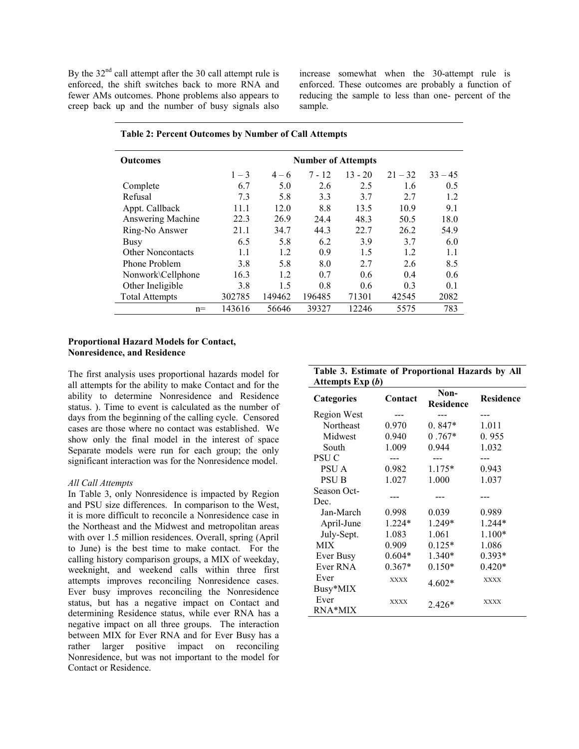By the  $32<sup>nd</sup>$  call attempt after the 30 call attempt rule is enforced, the shift switches back to more RNA and fewer AMs outcomes. Phone problems also appears to creep back up and the number of busy signals also

increase somewhat when the 30-attempt rule is enforced. These outcomes are probably a function of reducing the sample to less than one- percent of the sample.

| <b>Outcomes</b>       | <b>Number of Attempts</b> |         |          |           |           |           |
|-----------------------|---------------------------|---------|----------|-----------|-----------|-----------|
|                       | $1 - 3$                   | $4 - 6$ | $7 - 12$ | $13 - 20$ | $21 - 32$ | $33 - 45$ |
| Complete              | 6.7                       | 5.0     | 2.6      | 2.5       | 1.6       | 0.5       |
| Refusal               | 7.3                       | 5.8     | 3.3      | 3.7       | 2.7       | 1.2       |
| Appt. Callback        | 11.1                      | 12.0    | 8.8      | 13.5      | 10.9      | 9.1       |
| Answering Machine     | 22.3                      | 26.9    | 24.4     | 48.3      | 50.5      | 18.0      |
| Ring-No Answer        | 21.1                      | 34.7    | 44.3     | 22.7      | 26.2      | 54.9      |
| Busy                  | 6.5                       | 5.8     | 6.2      | 3.9       | 3.7       | 6.0       |
| Other Noncontacts     | 1.1                       | 1.2     | 0.9      | 1.5       | 1.2       | 1.1       |
| Phone Problem         | 3.8                       | 5.8     | 8.0      | 2.7       | 2.6       | 8.5       |
| Nonwork\Cellphone     | 16.3                      | 1.2     | 0.7      | 0.6       | 0.4       | 0.6       |
| Other Ineligible      | 3.8                       | 15      | 0.8      | 0.6       | 0.3       | 0.1       |
| <b>Total Attempts</b> | 302785                    | 149462  | 196485   | 71301     | 42545     | 2082      |
| $n =$                 | 143616                    | 56646   | 39327    | 12246     | 5575      | 783       |

Ever

Ever

### **Table 2: Percent Outcomes by Number of Call Attempts**

## **Proportional Hazard Models for Contact, Nonresidence, and Residence**

The first analysis uses proportional hazards model for all attempts for the ability to make Contact and for the ability to determine Nonresidence and Residence status. ). Time to event is calculated as the number of days from the beginning of the calling cycle. Censored cases are those where no contact was established. We show only the final model in the interest of space Separate models were run for each group; the only significant interaction was for the Nonresidence model.

## *All Call Attempts*

In Table 3, only Nonresidence is impacted by Region and PSU size differences. In comparison to the West, it is more difficult to reconcile a Nonresidence case in the Northeast and the Midwest and metropolitan areas with over 1.5 million residences. Overall, spring (April to June) is the best time to make contact. For the calling history comparison groups, a MIX of weekday, weeknight, and weekend calls within three first attempts improves reconciling Nonresidence cases. Ever busy improves reconciling the Nonresidence status, but has a negative impact on Contact and determining Residence status, while ever RNA has a negative impact on all three groups. The interaction between MIX for Ever RNA and for Ever Busy has a rather larger positive impact on reconciling Nonresidence, but was not important to the model for Contact or Residence.

| Attempts Exp (b)  |          |                          |                  |
|-------------------|----------|--------------------------|------------------|
| <b>Categories</b> | Contact  | Non-<br><b>Residence</b> | <b>Residence</b> |
| Region West       |          |                          |                  |
| Northeast         | 0.970    | $0.847*$                 | 1.011            |
| Midwest           | 0.940    | $0.767*$                 | 0.955            |
| South             | 1.009    | 0.944                    | 1.032            |
| <b>PSUC</b>       |          |                          |                  |
| PSU A             | 0.982    | $1.175*$                 | 0.943            |
| <b>PSUB</b>       | 1.027    | 1.000                    | 1.037            |
| Season Oct-       |          |                          |                  |
| Dec.              |          |                          |                  |
| Jan-March         | 0.998    | 0.039                    | 0.989            |
| April-June        | $1.224*$ | $1.249*$                 | $1.244*$         |
| July-Sept.        | 1.083    | 1.061                    | $1.100*$         |
| <b>MIX</b>        | 0.909    | $0.125*$                 | 1.086            |
| Ever Busy         | $0.604*$ | $1.340*$                 | $0.393*$         |
| Ever RNA          | $0.367*$ | $0.150*$                 | $0.420*$         |

Ever xxxx  $4.602*$  XXXX<br>Busy\*MIX 4.602\*

Ever xxxx  $2.426*$  XXXX<br>RNA\*MIX 2.426\*

|                  |  | Table 3. Estimate of Proportional Hazards by All |  |  |
|------------------|--|--------------------------------------------------|--|--|
| Attemnts Exn (b) |  |                                                  |  |  |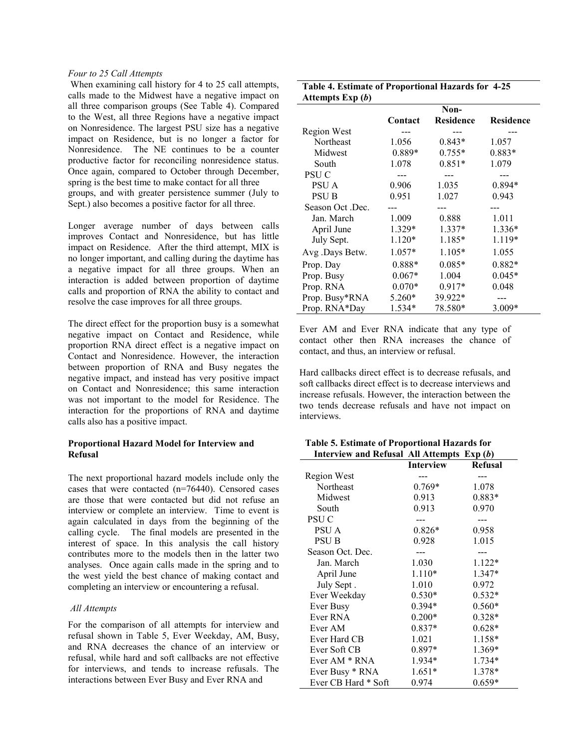## *Four to 25 Call Attempts*

 When examining call history for 4 to 25 call attempts, calls made to the Midwest have a negative impact on all three comparison groups (See Table 4). Compared to the West, all three Regions have a negative impact on Nonresidence. The largest PSU size has a negative impact on Residence, but is no longer a factor for Nonresidence. The NE continues to be a counter productive factor for reconciling nonresidence status. Once again, compared to October through December, spring is the best time to make contact for all three groups, and with greater persistence summer (July to Sept.) also becomes a positive factor for all three.

Longer average number of days between calls improves Contact and Nonresidence, but has little impact on Residence. After the third attempt, MIX is no longer important, and calling during the daytime has a negative impact for all three groups. When an interaction is added between proportion of daytime calls and proportion of RNA the ability to contact and resolve the case improves for all three groups.

The direct effect for the proportion busy is a somewhat negative impact on Contact and Residence, while proportion RNA direct effect is a negative impact on Contact and Nonresidence. However, the interaction between proportion of RNA and Busy negates the negative impact, and instead has very positive impact on Contact and Nonresidence; this same interaction was not important to the model for Residence. The interaction for the proportions of RNA and daytime calls also has a positive impact.

## **Proportional Hazard Model for Interview and Refusal**

The next proportional hazard models include only the cases that were contacted (n=76440). Censored cases are those that were contacted but did not refuse an interview or complete an interview. Time to event is again calculated in days from the beginning of the calling cycle. The final models are presented in the interest of space. In this analysis the call history contributes more to the models then in the latter two analyses. Once again calls made in the spring and to the west yield the best chance of making contact and completing an interview or encountering a refusal.

#### *All Attempts*

For the comparison of all attempts for interview and refusal shown in Table 5, Ever Weekday, AM, Busy, and RNA decreases the chance of an interview or refusal, while hard and soft callbacks are not effective for interviews, and tends to increase refusals. The interactions between Ever Busy and Ever RNA and

| Table 4. Estimate of Proportional Hazards for 4-25 |  |
|----------------------------------------------------|--|
| Attempts $Exp(b)$                                  |  |

| r v z            |          |                  |                  |
|------------------|----------|------------------|------------------|
|                  |          | Non-             |                  |
|                  | Contact  | <b>Residence</b> | <b>Residence</b> |
| Region West      |          |                  |                  |
| Northeast        | 1.056    | $0.843*$         | 1.057            |
| Midwest          | 0.889*   | $0.755*$         | 0.883*           |
| South            | 1.078    | $0.851*$         | 1.079            |
| PSU C            |          |                  |                  |
| PSU A            | 0.906    | 1.035            | 0.894*           |
| <b>PSUB</b>      | 0.951    | 1.027            | 0.943            |
| Season Oct .Dec. |          |                  |                  |
| Jan. March       | 1.009    | 0.888            | 1.011            |
| April June       | 1.329*   | $1.337*$         | $1.336*$         |
| July Sept.       | $1.120*$ | 1.185*           | 1.119*           |
| Avg.Days Betw.   | $1.057*$ | 1.105*           | 1.055            |
| Prop. Day        | 0.888*   | $0.085*$         | 0.882*           |
| Prop. Busy       | $0.067*$ | 1.004            | $0.045*$         |
| Prop. RNA        | $0.070*$ | $0.917*$         | 0.048            |
| Prop. Busy*RNA   | 5.260*   | 39.922*          |                  |
| Prop. RNA*Day    | 1.534*   | 78.580*          | 3.009*           |

Ever AM and Ever RNA indicate that any type of contact other then RNA increases the chance of contact, and thus, an interview or refusal.

Hard callbacks direct effect is to decrease refusals, and soft callbacks direct effect is to decrease interviews and increase refusals. However, the interaction between the two tends decrease refusals and have not impact on interviews.

| Table 5. Estimate of Proportional Hazards for |  |  |  |
|-----------------------------------------------|--|--|--|
| Interview and Refusal All Attempts $Exp(b)$   |  |  |  |

|                     | <b>Interview</b> | <b>Refusal</b> |
|---------------------|------------------|----------------|
| Region West         |                  |                |
| Northeast           | $0.769*$         | 1.078          |
| Midwest             | 0.913            | $0.883*$       |
| South               | 0.913            | 0.970          |
| <b>PSUC</b>         |                  |                |
| PSU A               | $0.826*$         | 0.958          |
| <b>PSU B</b>        | 0.928            | 1.015          |
| Season Oct. Dec.    |                  |                |
| Jan. March          | 1.030            | $1.122*$       |
| April June          | $1.110*$         | $1.347*$       |
| July Sept.          | 1.010            | 0.972          |
| Ever Weekday        | $0.530*$         | $0.532*$       |
| Ever Busy           | $0.394*$         | $0.560*$       |
| Ever RNA            | $0.200*$         | $0.328*$       |
| Ever AM             | $0.837*$         | $0.628*$       |
| Ever Hard CB        | 1.021            | 1.158*         |
| Ever Soft CB        | $0.897*$         | 1.369*         |
| Ever $AM * RNA$     | 1.934*           | $1.734*$       |
| Ever Busy * RNA     | $1.651*$         | 1.378*         |
| Ever CB Hard * Soft | 0.974            | $0.659*$       |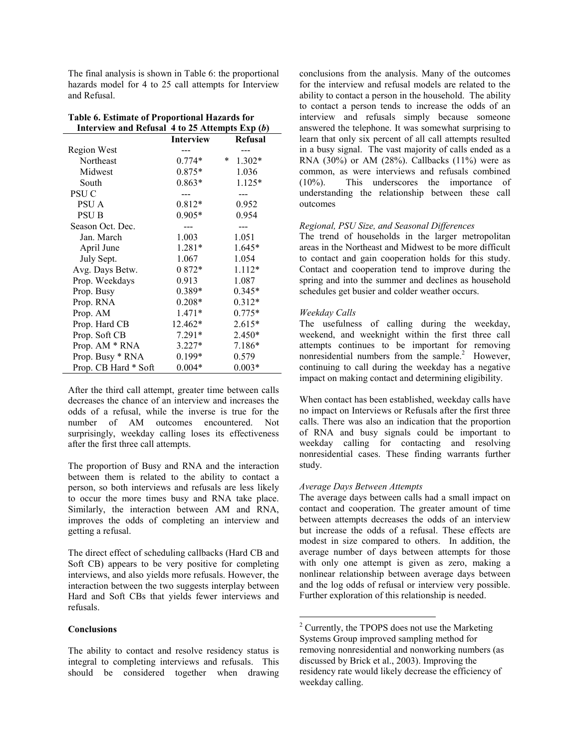The final analysis is shown in Table 6: the proportional hazards model for 4 to 25 call attempts for Interview and Refusal.

| Interview and Refusal $4$ to 25 Attempts Exp $(b)$ |                  |                    |
|----------------------------------------------------|------------------|--------------------|
|                                                    | <b>Interview</b> | <b>Refusal</b>     |
| Region West                                        |                  |                    |
| Northeast                                          | $0.774*$         | $\ast$<br>$1.302*$ |
| Midwest                                            | $0.875*$         | 1.036              |
| South                                              | $0.863*$         | $1.125*$           |
| PSU <sub>C</sub>                                   |                  |                    |
| PSU A                                              | $0.812*$         | 0.952              |
| PSU B                                              | $0.905*$         | 0.954              |
| Season Oct. Dec.                                   |                  |                    |
| Jan. March                                         | 1.003            | 1.051              |
| April June                                         | $1.281*$         | $1.645*$           |
| July Sept.                                         | 1.067            | 1.054              |
| Avg. Days Betw.                                    | $0.872*$         | $1.112*$           |
| Prop. Weekdays                                     | 0.913            | 1.087              |
| Prop. Busy                                         | $0.389*$         | $0.345*$           |
| Prop. RNA                                          | $0.208*$         | $0.312*$           |
| Prop. AM                                           | $1.471*$         | $0.775*$           |
| Prop. Hard CB                                      | 12.462*          | $2.615*$           |
| Prop. Soft CB                                      | $7.291*$         | 2.450*             |
| Prop. AM * RNA                                     | $3.227*$         | 7.186*             |
| Prop. Busy * RNA                                   | $0.199*$         | 0.579              |
| Prop. CB Hard * Soft                               | $0.004*$         | $0.003*$           |

| Table 6. Estimate of Proportional Hazards for |                                                       |
|-----------------------------------------------|-------------------------------------------------------|
|                                               | Interview and Refusal 4 to 25 Attempts Exp ( <i>l</i> |

After the third call attempt, greater time between calls decreases the chance of an interview and increases the odds of a refusal, while the inverse is true for the number of AM outcomes encountered. Not surprisingly, weekday calling loses its effectiveness after the first three call attempts.

The proportion of Busy and RNA and the interaction between them is related to the ability to contact a person, so both interviews and refusals are less likely to occur the more times busy and RNA take place. Similarly, the interaction between AM and RNA, improves the odds of completing an interview and getting a refusal.

The direct effect of scheduling callbacks (Hard CB and Soft CB) appears to be very positive for completing interviews, and also yields more refusals. However, the interaction between the two suggests interplay between Hard and Soft CBs that yields fewer interviews and refusals.

### **Conclusions**

The ability to contact and resolve residency status is integral to completing interviews and refusals. This should be considered together when drawing conclusions from the analysis. Many of the outcomes for the interview and refusal models are related to the ability to contact a person in the household. The ability to contact a person tends to increase the odds of an interview and refusals simply because someone answered the telephone. It was somewhat surprising to learn that only six percent of all call attempts resulted in a busy signal. The vast majority of calls ended as a RNA (30%) or AM (28%). Callbacks (11%) were as common, as were interviews and refusals combined (10%). This underscores the importance of understanding the relationship between these call outcomes

#### *Regional, PSU Size, and Seasonal Differences*

The trend of households in the larger metropolitan areas in the Northeast and Midwest to be more difficult to contact and gain cooperation holds for this study. Contact and cooperation tend to improve during the spring and into the summer and declines as household schedules get busier and colder weather occurs.

### *Weekday Calls*

The usefulness of calling during the weekday, weekend, and weeknight within the first three call attempts continues to be important for removing nonresidential numbers from the sample.<sup>2</sup> However, continuing to call during the weekday has a negative impact on making contact and determining eligibility.

When contact has been established, weekday calls have no impact on Interviews or Refusals after the first three calls. There was also an indication that the proportion of RNA and busy signals could be important to weekday calling for contacting and resolving nonresidential cases. These finding warrants further study.

#### *Average Days Between Attempts*

 $\overline{a}$ 

The average days between calls had a small impact on contact and cooperation. The greater amount of time between attempts decreases the odds of an interview but increase the odds of a refusal. These effects are modest in size compared to others. In addition, the average number of days between attempts for those with only one attempt is given as zero, making a nonlinear relationship between average days between and the log odds of refusal or interview very possible. Further exploration of this relationship is needed.

<sup>&</sup>lt;sup>2</sup> Currently, the TPOPS does not use the Marketing Systems Group improved sampling method for removing nonresidential and nonworking numbers (as discussed by Brick et al., 2003). Improving the residency rate would likely decrease the efficiency of weekday calling.